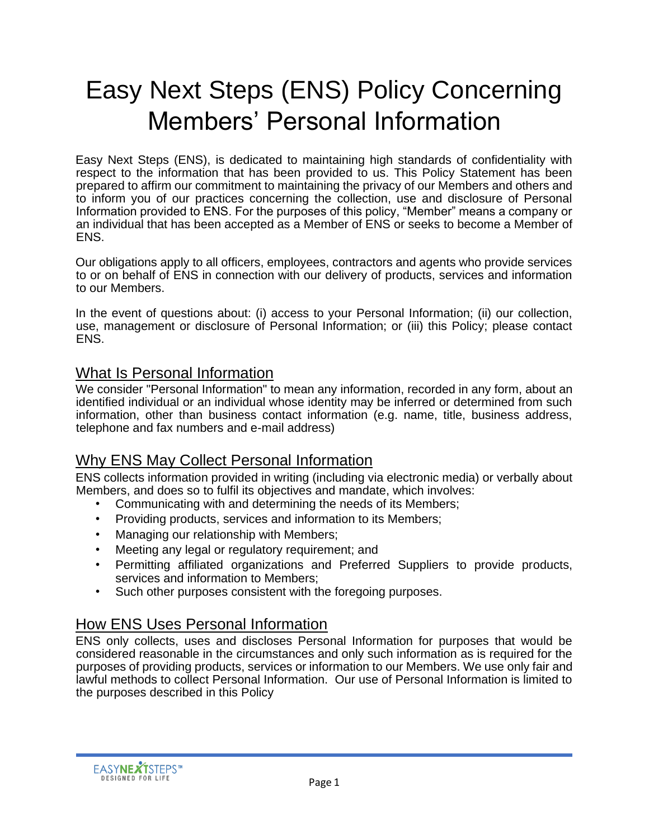# Easy Next Steps (ENS) Policy Concerning Members' Personal Information

Easy Next Steps (ENS), is dedicated to maintaining high standards of confidentiality with respect to the information that has been provided to us. This Policy Statement has been prepared to affirm our commitment to maintaining the privacy of our Members and others and to inform you of our practices concerning the collection, use and disclosure of Personal Information provided to ENS. For the purposes of this policy, "Member" means a company or an individual that has been accepted as a Member of ENS or seeks to become a Member of ENS.

Our obligations apply to all officers, employees, contractors and agents who provide services to or on behalf of ENS in connection with our delivery of products, services and information to our Members.

In the event of questions about: (i) access to your Personal Information; (ii) our collection, use, management or disclosure of Personal Information; or (iii) this Policy; please contact ENS.

#### What Is Personal Information

We consider "Personal Information" to mean any information, recorded in any form, about an identified individual or an individual whose identity may be inferred or determined from such information, other than business contact information (e.g. name, title, business address, telephone and fax numbers and e-mail address)

## Why ENS May Collect Personal Information

ENS collects information provided in writing (including via electronic media) or verbally about Members, and does so to fulfil its objectives and mandate, which involves:

- Communicating with and determining the needs of its Members;
- Providing products, services and information to its Members;
- Managing our relationship with Members;
- Meeting any legal or regulatory requirement; and
- Permitting affiliated organizations and Preferred Suppliers to provide products, services and information to Members;
- Such other purposes consistent with the foregoing purposes.

## How ENS Uses Personal Information

ENS only collects, uses and discloses Personal Information for purposes that would be considered reasonable in the circumstances and only such information as is required for the purposes of providing products, services or information to our Members. We use only fair and lawful methods to collect Personal Information. Our use of Personal Information is limited to the purposes described in this Policy

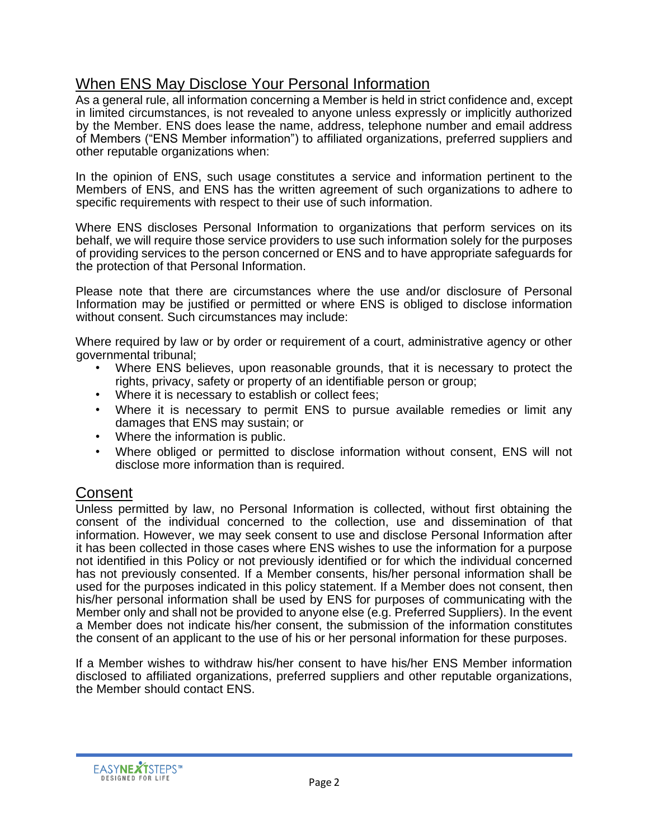## When ENS May Disclose Your Personal Information

As a general rule, all information concerning a Member is held in strict confidence and, except in limited circumstances, is not revealed to anyone unless expressly or implicitly authorized by the Member. ENS does lease the name, address, telephone number and email address of Members ("ENS Member information") to affiliated organizations, preferred suppliers and other reputable organizations when:

In the opinion of ENS, such usage constitutes a service and information pertinent to the Members of ENS, and ENS has the written agreement of such organizations to adhere to specific requirements with respect to their use of such information.

Where ENS discloses Personal Information to organizations that perform services on its behalf, we will require those service providers to use such information solely for the purposes of providing services to the person concerned or ENS and to have appropriate safeguards for the protection of that Personal Information.

Please note that there are circumstances where the use and/or disclosure of Personal Information may be justified or permitted or where ENS is obliged to disclose information without consent. Such circumstances may include:

Where required by law or by order or requirement of a court, administrative agency or other governmental tribunal;

- Where ENS believes, upon reasonable grounds, that it is necessary to protect the rights, privacy, safety or property of an identifiable person or group;
- Where it is necessary to establish or collect fees;
- Where it is necessary to permit ENS to pursue available remedies or limit any damages that ENS may sustain; or
- Where the information is public.
- Where obliged or permitted to disclose information without consent, ENS will not disclose more information than is required.

## Consent

Unless permitted by law, no Personal Information is collected, without first obtaining the consent of the individual concerned to the collection, use and dissemination of that information. However, we may seek consent to use and disclose Personal Information after it has been collected in those cases where ENS wishes to use the information for a purpose not identified in this Policy or not previously identified or for which the individual concerned has not previously consented. If a Member consents, his/her personal information shall be used for the purposes indicated in this policy statement. If a Member does not consent, then his/her personal information shall be used by ENS for purposes of communicating with the Member only and shall not be provided to anyone else (e.g. Preferred Suppliers). In the event a Member does not indicate his/her consent, the submission of the information constitutes the consent of an applicant to the use of his or her personal information for these purposes.

If a Member wishes to withdraw his/her consent to have his/her ENS Member information disclosed to affiliated organizations, preferred suppliers and other reputable organizations, the Member should contact ENS.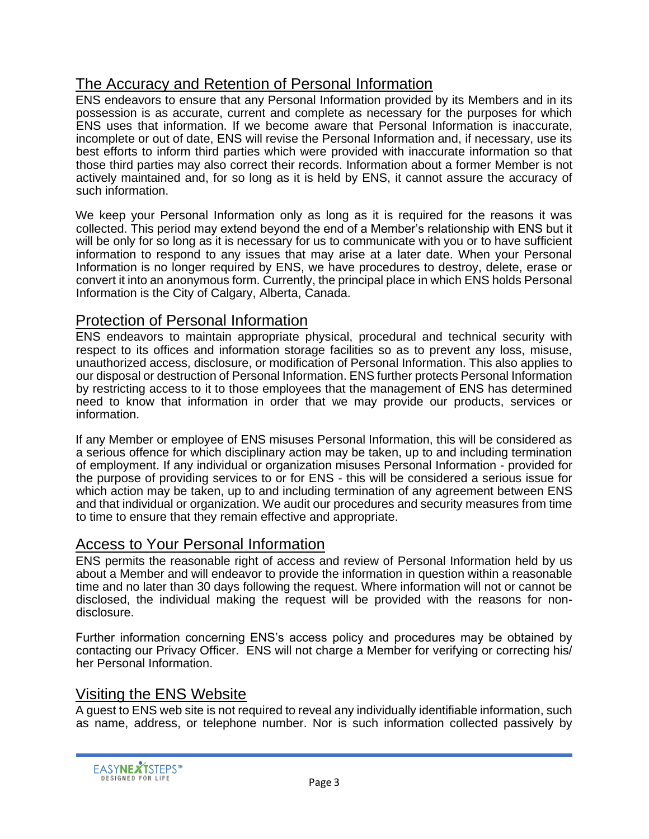# The Accuracy and Retention of Personal Information

ENS endeavors to ensure that any Personal Information provided by its Members and in its possession is as accurate, current and complete as necessary for the purposes for which ENS uses that information. If we become aware that Personal Information is inaccurate, incomplete or out of date, ENS will revise the Personal Information and, if necessary, use its best efforts to inform third parties which were provided with inaccurate information so that those third parties may also correct their records. Information about a former Member is not actively maintained and, for so long as it is held by ENS, it cannot assure the accuracy of such information.

We keep your Personal Information only as long as it is required for the reasons it was collected. This period may extend beyond the end of a Member's relationship with ENS but it will be only for so long as it is necessary for us to communicate with you or to have sufficient information to respond to any issues that may arise at a later date. When your Personal Information is no longer required by ENS, we have procedures to destroy, delete, erase or convert it into an anonymous form. Currently, the principal place in which ENS holds Personal Information is the City of Calgary, Alberta, Canada.

## Protection of Personal Information

ENS endeavors to maintain appropriate physical, procedural and technical security with respect to its offices and information storage facilities so as to prevent any loss, misuse, unauthorized access, disclosure, or modification of Personal Information. This also applies to our disposal or destruction of Personal Information. ENS further protects Personal Information by restricting access to it to those employees that the management of ENS has determined need to know that information in order that we may provide our products, services or information.

If any Member or employee of ENS misuses Personal Information, this will be considered as a serious offence for which disciplinary action may be taken, up to and including termination of employment. If any individual or organization misuses Personal Information - provided for the purpose of providing services to or for ENS - this will be considered a serious issue for which action may be taken, up to and including termination of any agreement between ENS and that individual or organization. We audit our procedures and security measures from time to time to ensure that they remain effective and appropriate.

## Access to Your Personal Information

ENS permits the reasonable right of access and review of Personal Information held by us about a Member and will endeavor to provide the information in question within a reasonable time and no later than 30 days following the request. Where information will not or cannot be disclosed, the individual making the request will be provided with the reasons for nondisclosure.

Further information concerning ENS's access policy and procedures may be obtained by contacting our Privacy Officer. ENS will not charge a Member for verifying or correcting his/ her Personal Information.

## Visiting the ENS Website

A guest to ENS web site is not required to reveal any individually identifiable information, such as name, address, or telephone number. Nor is such information collected passively by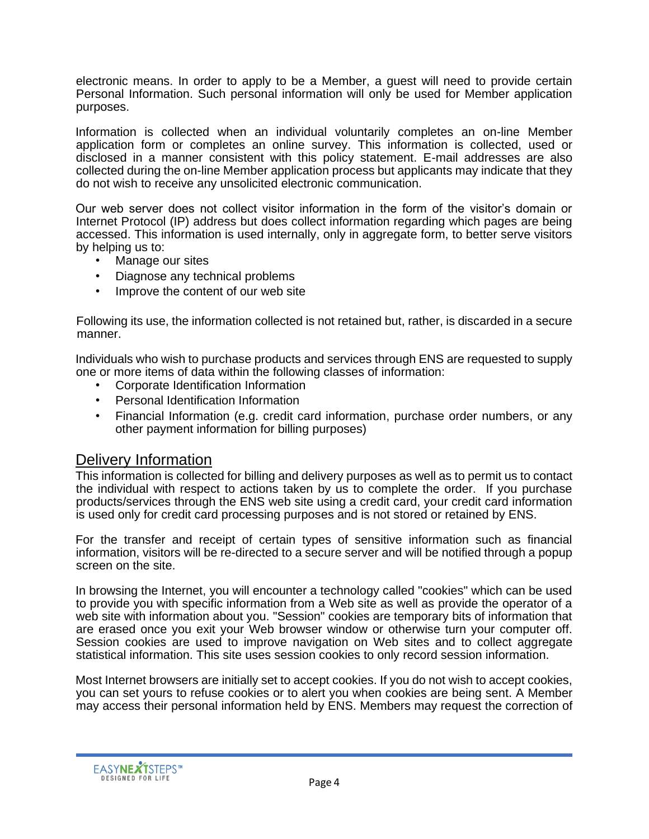electronic means. In order to apply to be a Member, a guest will need to provide certain Personal Information. Such personal information will only be used for Member application purposes.

Information is collected when an individual voluntarily completes an on-line Member application form or completes an online survey. This information is collected, used or disclosed in a manner consistent with this policy statement. E-mail addresses are also collected during the on-line Member application process but applicants may indicate that they do not wish to receive any unsolicited electronic communication.

Our web server does not collect visitor information in the form of the visitor's domain or Internet Protocol (IP) address but does collect information regarding which pages are being accessed. This information is used internally, only in aggregate form, to better serve visitors by helping us to:

- Manage our sites
- Diagnose any technical problems
- Improve the content of our web site

Following its use, the information collected is not retained but, rather, is discarded in a secure manner.

Individuals who wish to purchase products and services through ENS are requested to supply one or more items of data within the following classes of information:

- Corporate Identification Information
- Personal Identification Information
- Financial Information (e.g. credit card information, purchase order numbers, or any other payment information for billing purposes)

## Delivery Information

This information is collected for billing and delivery purposes as well as to permit us to contact the individual with respect to actions taken by us to complete the order. If you purchase products/services through the ENS web site using a credit card, your credit card information is used only for credit card processing purposes and is not stored or retained by ENS.

For the transfer and receipt of certain types of sensitive information such as financial information, visitors will be re-directed to a secure server and will be notified through a popup screen on the site.

In browsing the Internet, you will encounter a technology called "cookies" which can be used to provide you with specific information from a Web site as well as provide the operator of a web site with information about you. "Session" cookies are temporary bits of information that are erased once you exit your Web browser window or otherwise turn your computer off. Session cookies are used to improve navigation on Web sites and to collect aggregate statistical information. This site uses session cookies to only record session information.

Most Internet browsers are initially set to accept cookies. If you do not wish to accept cookies, you can set yours to refuse cookies or to alert you when cookies are being sent. A Member may access their personal information held by ENS. Members may request the correction of